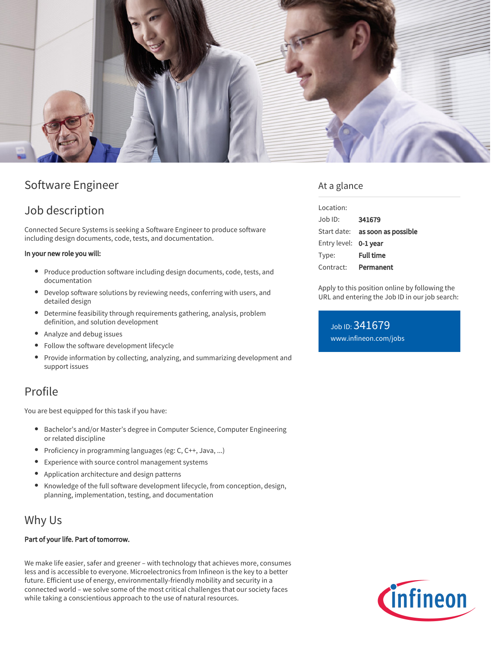

# Software Engineer

## Job description

Connected Secure Systems is seeking a Software Engineer to produce software including design documents, code, tests, and documentation.

### In your new role you will:

- Produce production software including design documents, code, tests, and documentation
- Develop software solutions by reviewing needs, conferring with users, and detailed design
- Determine feasibility through requirements gathering, analysis, problem definition, and solution development
- Analyze and debug issues
- Follow the software development lifecycle  $\bullet$
- $\bullet$ Provide information by collecting, analyzing, and summarizing development and support issues

## Profile

You are best equipped for this task if you have:

- Bachelor's and/or Master's degree in Computer Science, Computer Engineering or related discipline
- Proficiency in programming languages (eg:  $C, C++, Java, ...$ )
- Experience with source control management systems
- Application architecture and design patterns
- Knowledge of the full software development lifecycle, from conception, design, planning, implementation, testing, and documentation

## Why Us

### Part of your life. Part of tomorrow.

We make life easier, safer and greener – with technology that achieves more, consumes less and is accessible to everyone. Microelectronics from Infineon is the key to a better future. Efficient use of energy, environmentally-friendly mobility and security in a connected world – we solve some of the most critical challenges that our society faces while taking a conscientious approach to the use of natural resources.

### At a glance

| Location:             |                                        |
|-----------------------|----------------------------------------|
| $Joh$ ID:             | 341679                                 |
|                       | Start date: <b>as soon as possible</b> |
| Entry level: 0-1 year |                                        |
| Type:                 | <b>Full time</b>                       |
| Contract:             | Permanent                              |

Apply to this position online by following the URL and entering the Job ID in our job search:

Job ID: 341679 [www.infineon.com/jobs](https://www.infineon.com/jobs)